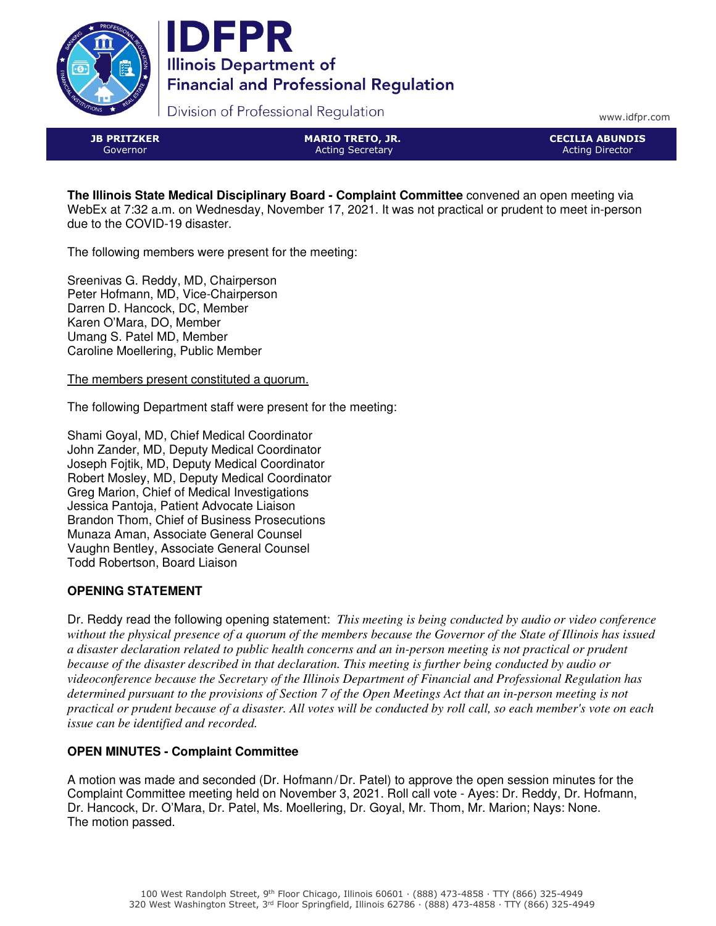



Division of Professional Regulation

www.idfpr.com

JB PRITZKER Governor

MARIO TRETO, JR. Acting Secretary

CECILIA ABUNDIS Acting Director

**The Illinois State Medical Disciplinary Board - Complaint Committee** convened an open meeting via WebEx at 7:32 a.m. on Wednesday, November 17, 2021. It was not practical or prudent to meet in-person due to the COVID-19 disaster.

The following members were present for the meeting:

Sreenivas G. Reddy, MD, Chairperson Peter Hofmann, MD, Vice-Chairperson Darren D. Hancock, DC, Member Karen O'Mara, DO, Member Umang S. Patel MD, Member Caroline Moellering, Public Member

The members present constituted a quorum.

The following Department staff were present for the meeting:

Shami Goyal, MD, Chief Medical Coordinator John Zander, MD, Deputy Medical Coordinator Joseph Fojtik, MD, Deputy Medical Coordinator Robert Mosley, MD, Deputy Medical Coordinator Greg Marion, Chief of Medical Investigations Jessica Pantoja, Patient Advocate Liaison Brandon Thom, Chief of Business Prosecutions Munaza Aman, Associate General Counsel Vaughn Bentley, Associate General Counsel Todd Robertson, Board Liaison

# **OPENING STATEMENT**

Dr. Reddy read the following opening statement: *This meeting is being conducted by audio or video conference without the physical presence of a quorum of the members because the Governor of the State of Illinois has issued a disaster declaration related to public health concerns and an in-person meeting is not practical or prudent because of the disaster described in that declaration. This meeting is further being conducted by audio or videoconference because the Secretary of the Illinois Department of Financial and Professional Regulation has determined pursuant to the provisions of Section 7 of the Open Meetings Act that an in-person meeting is not practical or prudent because of a disaster. All votes will be conducted by roll call, so each member's vote on each issue can be identified and recorded.*

# **OPEN MINUTES - Complaint Committee**

A motion was made and seconded (Dr. Hofmann/Dr. Patel) to approve the open session minutes for the Complaint Committee meeting held on November 3, 2021. Roll call vote - Ayes: Dr. Reddy, Dr. Hofmann, Dr. Hancock, Dr. O'Mara, Dr. Patel, Ms. Moellering, Dr. Goyal, Mr. Thom, Mr. Marion; Nays: None. The motion passed.